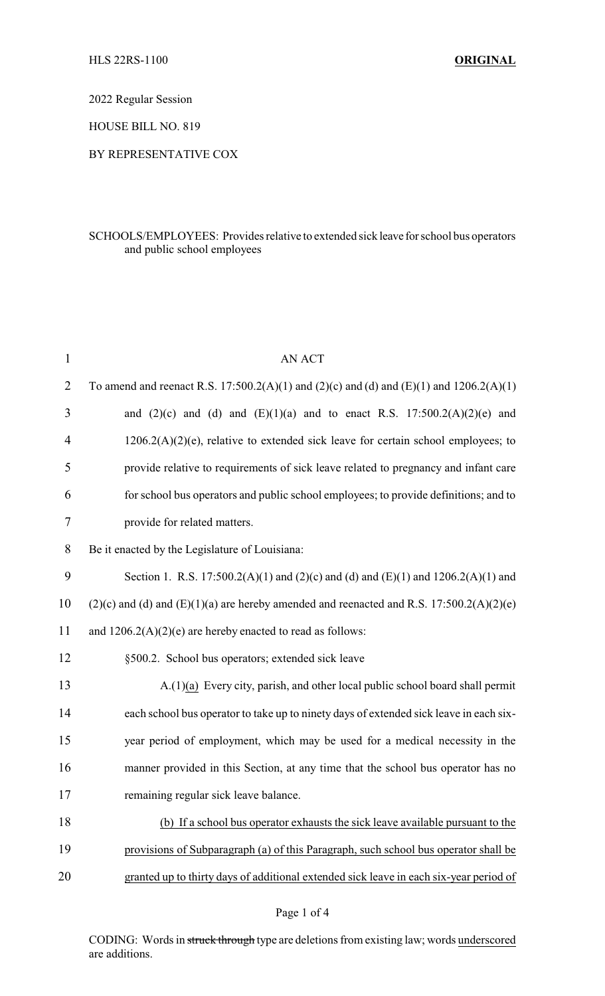2022 Regular Session

HOUSE BILL NO. 819

## BY REPRESENTATIVE COX

## SCHOOLS/EMPLOYEES: Provides relative to extended sick leave for school bus operators and public school employees

| $\mathbf{1}$   | <b>AN ACT</b>                                                                                |
|----------------|----------------------------------------------------------------------------------------------|
| $\overline{2}$ | To amend and reenact R.S. 17:500.2(A)(1) and (2)(c) and (d) and (E)(1) and 1206.2(A)(1)      |
| 3              | and $(2)(c)$ and $(d)$ and $(E)(1)(a)$ and to enact R.S. 17:500.2(A)(2)(e) and               |
| 4              | $1206.2(A)(2)(e)$ , relative to extended sick leave for certain school employees; to         |
| 5              | provide relative to requirements of sick leave related to pregnancy and infant care          |
| 6              | for school bus operators and public school employees; to provide definitions; and to         |
| 7              | provide for related matters.                                                                 |
| 8              | Be it enacted by the Legislature of Louisiana:                                               |
| 9              | Section 1. R.S. 17:500.2(A)(1) and (2)(c) and (d) and (E)(1) and 1206.2(A)(1) and            |
| 10             | $(2)(c)$ and (d) and $(E)(1)(a)$ are hereby amended and reenacted and R.S. 17:500.2(A)(2)(e) |
| 11             | and $1206.2(A)(2)(e)$ are hereby enacted to read as follows:                                 |
| 12             | §500.2. School bus operators; extended sick leave                                            |
| 13             | A.(1)(a) Every city, parish, and other local public school board shall permit                |
| 14             | each school bus operator to take up to ninety days of extended sick leave in each six-       |
| 15             | year period of employment, which may be used for a medical necessity in the                  |
| 16             | manner provided in this Section, at any time that the school bus operator has no             |
| 17             | remaining regular sick leave balance.                                                        |
| 18             | (b) If a school bus operator exhausts the sick leave available pursuant to the               |
| 19             | provisions of Subparagraph (a) of this Paragraph, such school bus operator shall be          |
| 20             | granted up to thirty days of additional extended sick leave in each six-year period of       |
|                |                                                                                              |

CODING: Words in struck through type are deletions from existing law; words underscored are additions.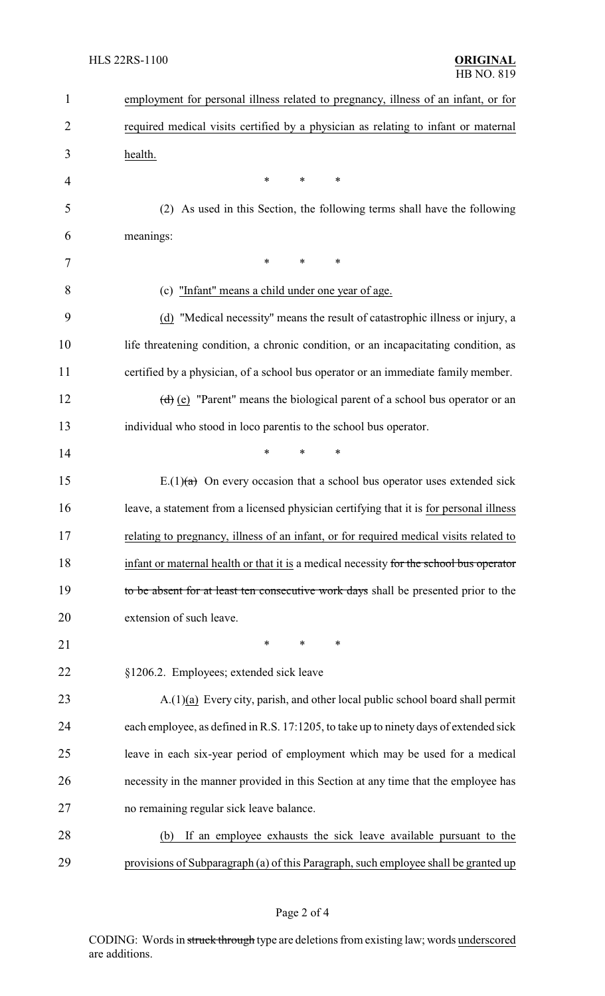| $\mathbf{1}$   | employment for personal illness related to pregnancy, illness of an infant, or for      |
|----------------|-----------------------------------------------------------------------------------------|
| $\overline{2}$ | required medical visits certified by a physician as relating to infant or maternal      |
| 3              | health.                                                                                 |
| $\overline{4}$ | ∗<br>*<br>∗                                                                             |
| 5              | (2) As used in this Section, the following terms shall have the following               |
| 6              | meanings:                                                                               |
| 7              | ∗<br>*<br>$\ast$                                                                        |
| 8              | (c) "Infant" means a child under one year of age.                                       |
| 9              | (d) "Medical necessity" means the result of catastrophic illness or injury, a           |
| 10             | life threatening condition, a chronic condition, or an incapacitating condition, as     |
| 11             | certified by a physician, of a school bus operator or an immediate family member.       |
| 12             | $(d)$ (e) "Parent" means the biological parent of a school bus operator or an           |
| 13             | individual who stood in loco parentis to the school bus operator.                       |
| 14             | *<br>*<br>∗                                                                             |
| 15             | E.(1) $(a)$ On every occasion that a school bus operator uses extended sick             |
| 16             | leave, a statement from a licensed physician certifying that it is for personal illness |
| 17             | relating to pregnancy, illness of an infant, or for required medical visits related to  |
| 18             | infant or maternal health or that it is a medical necessity for the school bus operator |
| 19             | to be absent for at least ten consecutive work days shall be presented prior to the     |
| 20             | extension of such leave.                                                                |
| 21             | $\ast$<br>∗<br>*                                                                        |
| 22             | §1206.2. Employees; extended sick leave                                                 |
| 23             | A.(1)(a) Every city, parish, and other local public school board shall permit           |
| 24             | each employee, as defined in R.S. 17:1205, to take up to ninety days of extended sick   |
| 25             | leave in each six-year period of employment which may be used for a medical             |
| 26             | necessity in the manner provided in this Section at any time that the employee has      |
| 27             | no remaining regular sick leave balance.                                                |
| 28             | If an employee exhausts the sick leave available pursuant to the<br>(b)                 |
| 29             | provisions of Subparagraph (a) of this Paragraph, such employee shall be granted up     |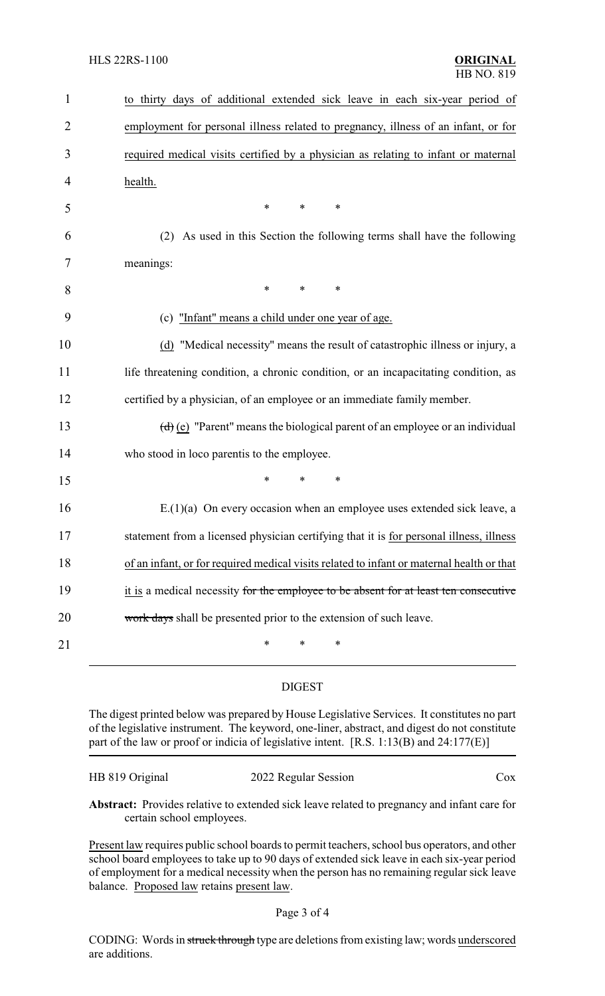| $\mathbf{1}$ | to thirty days of additional extended sick leave in each six-year period of               |
|--------------|-------------------------------------------------------------------------------------------|
| 2            | employment for personal illness related to pregnancy, illness of an infant, or for        |
| 3            | required medical visits certified by a physician as relating to infant or maternal        |
| 4            | health.                                                                                   |
| 5            | $\ast$<br>$\ast$<br>*                                                                     |
| 6            | As used in this Section the following terms shall have the following<br>(2)               |
| 7            | meanings:                                                                                 |
| 8            | $\ast$<br>*<br>∗                                                                          |
| 9            | (c) "Infant" means a child under one year of age.                                         |
| 10           | (d) "Medical necessity" means the result of catastrophic illness or injury, a             |
| 11           | life threatening condition, a chronic condition, or an incapacitating condition, as       |
| 12           | certified by a physician, of an employee or an immediate family member.                   |
| 13           | $(d)$ (e) "Parent" means the biological parent of an employee or an individual            |
| 14           | who stood in loco parentis to the employee.                                               |
| 15           | $\ast$<br>*<br>*                                                                          |
| 16           | $E(1)(a)$ On every occasion when an employee uses extended sick leave, a                  |
| 17           | statement from a licensed physician certifying that it is for personal illness, illness   |
| 18           | of an infant, or for required medical visits related to infant or maternal health or that |
| 19           | it is a medical necessity for the employee to be absent for at least ten consecutive      |
| 20           | work days shall be presented prior to the extension of such leave.                        |
| 21           | *<br>∗<br>∗                                                                               |
|              |                                                                                           |

## DIGEST

The digest printed below was prepared by House Legislative Services. It constitutes no part of the legislative instrument. The keyword, one-liner, abstract, and digest do not constitute part of the law or proof or indicia of legislative intent. [R.S. 1:13(B) and 24:177(E)]

| HB 819 Original | 2022 Regular Session | COX |
|-----------------|----------------------|-----|
|                 |                      |     |

**Abstract:** Provides relative to extended sick leave related to pregnancy and infant care for certain school employees.

Present law requires public school boards to permit teachers, school bus operators, and other school board employees to take up to 90 days of extended sick leave in each six-year period of employment for a medical necessity when the person has no remaining regular sick leave balance. Proposed law retains present law.

CODING: Words in struck through type are deletions from existing law; words underscored are additions.